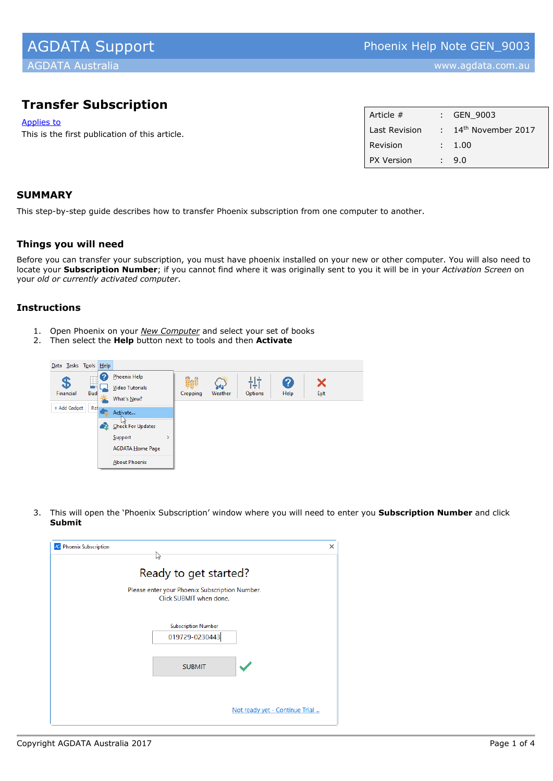# **Transfer Subscription**

Applies to

This is the first publication of this article.

| Article #         |   | GEN 9003                       |
|-------------------|---|--------------------------------|
| Last Revision     |   | 14 <sup>th</sup> November 2017 |
| Revision          |   | : 1.00                         |
| <b>PX Version</b> | ÷ | 9.0                            |
|                   |   |                                |

# **SUMMARY**

This step-by-step guide describes how to transfer Phoenix subscription from one computer to another.

#### **Things you will need**

Before you can transfer your subscription, you must have phoenix installed on your new or other computer. You will also need to locate your **Subscription Number**; if you cannot find where it was originally sent to you it will be in your *Activation Screen* on your *old or currently activated computer*.

## **Instructions**

- 1. Open Phoenix on your *New Computer* and select your set of books
- 2. Then select the **Help** button next to tools and then **Activate**



3. This will open the 'Phoenix Subscription' window where you will need to enter you **Subscription Number** and click **Submit**

| <b>Phoenix Subscription</b>                                               | X |
|---------------------------------------------------------------------------|---|
| 12<br>Ready to get started?                                               |   |
| Please enter your Phoenix Subscription Number.<br>Click SUBMIT when done. |   |
| <b>Subscription Number</b><br>019729-0230443                              |   |
| <b>SUBMIT</b>                                                             |   |
|                                                                           |   |
| Not ready yet - Continue Trial                                            |   |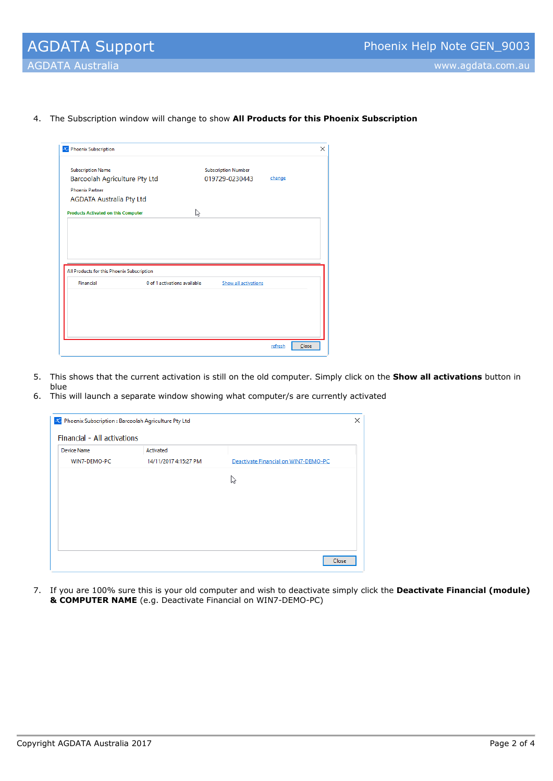4. The Subscription window will change to show **All Products for this Phoenix Subscription**

| <b>Subscription Name</b>                   |                              | <b>Subscription Number</b> |        |  |
|--------------------------------------------|------------------------------|----------------------------|--------|--|
| Barcoolah Agriculture Pty Ltd              |                              | 019729-0230443             | change |  |
| <b>Phoenix Partner</b>                     |                              |                            |        |  |
| <b>AGDATA Australia Pty Ltd</b>            |                              |                            |        |  |
| <b>Products Activated on this Computer</b> | ピ                            |                            |        |  |
|                                            |                              |                            |        |  |
|                                            |                              |                            |        |  |
|                                            |                              |                            |        |  |
|                                            |                              |                            |        |  |
|                                            |                              |                            |        |  |
|                                            |                              |                            |        |  |
|                                            |                              |                            |        |  |
| All Products for this Phoenix Subscription |                              |                            |        |  |
| Financial                                  | 0 of 1 activations available | Show all activations       |        |  |
|                                            |                              |                            |        |  |
|                                            |                              |                            |        |  |
|                                            |                              |                            |        |  |
|                                            |                              |                            |        |  |
|                                            |                              |                            |        |  |

- 5. This shows that the current activation is still on the old computer. Simply click on the **Show all activations** button in blue
- 6. This will launch a separate window showing what computer/s are currently activated

| X Phoenix Subscription : Barcoolah Agriculture Pty Ltd |                       |                                      | × |
|--------------------------------------------------------|-----------------------|--------------------------------------|---|
| Financial - All activations                            |                       |                                      |   |
| <b>Device Name</b>                                     | Activated             |                                      |   |
| WIN7-DEMO-PC                                           | 14/11/2017 4:15:27 PM | Deactivate Financial on WIN7-DEMO-PC |   |
|                                                        |                       | い                                    |   |
|                                                        |                       |                                      |   |
|                                                        |                       |                                      |   |
|                                                        |                       |                                      |   |
|                                                        |                       |                                      |   |
|                                                        |                       |                                      |   |
|                                                        |                       | Close                                |   |
|                                                        |                       |                                      |   |

7. If you are 100% sure this is your old computer and wish to deactivate simply click the **Deactivate Financial (module) & COMPUTER NAME** (e.g. Deactivate Financial on WIN7-DEMO-PC)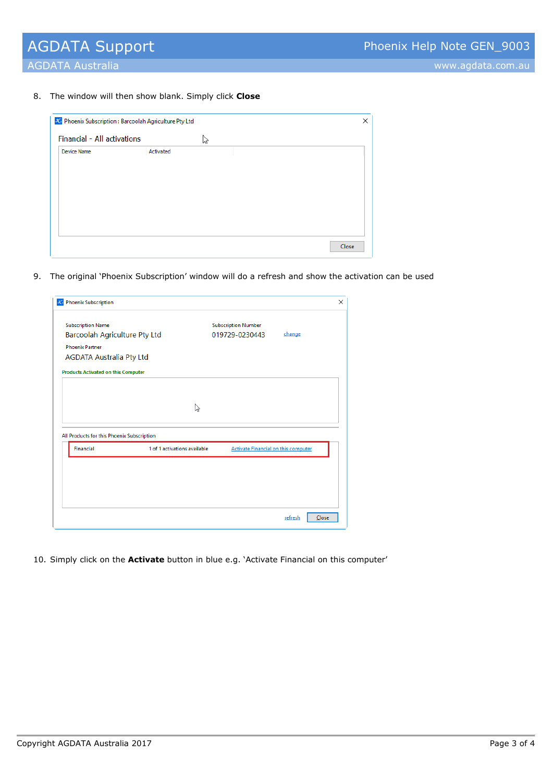AGDATA Australia www.agdata.com.au

8. The window will then show blank. Simply click **Close**

| X Phoenix Subscription : Barcoolah Agriculture Pty Ltd |           |   | ×     |
|--------------------------------------------------------|-----------|---|-------|
| Financial - All activations                            |           | M |       |
| <b>Device Name</b>                                     | Activated |   |       |
|                                                        |           |   | Close |

9. The original 'Phoenix Subscription' window will do a refresh and show the activation can be used

| <b>Subscription Name</b><br>Barcoolah Agriculture Pty Ltd<br><b>Phoenix Partner</b><br><b>AGDATA Australia Pty Ltd</b><br><b>Products Activated on this Computer</b> |                              | <b>Subscription Number</b><br>019729-0230443 | change |
|----------------------------------------------------------------------------------------------------------------------------------------------------------------------|------------------------------|----------------------------------------------|--------|
|                                                                                                                                                                      |                              |                                              |        |
|                                                                                                                                                                      |                              |                                              |        |
|                                                                                                                                                                      |                              |                                              |        |
|                                                                                                                                                                      |                              |                                              |        |
|                                                                                                                                                                      |                              |                                              |        |
|                                                                                                                                                                      |                              |                                              |        |
|                                                                                                                                                                      |                              |                                              |        |
|                                                                                                                                                                      | ピ                            |                                              |        |
|                                                                                                                                                                      |                              |                                              |        |
| All Products for this Phoenix Subscription                                                                                                                           |                              |                                              |        |
| <b>Financial</b>                                                                                                                                                     | 1 of 1 activations available | <b>Activate Financial on this computer</b>   |        |

10. Simply click on the **Activate** button in blue e.g. 'Activate Financial on this computer'